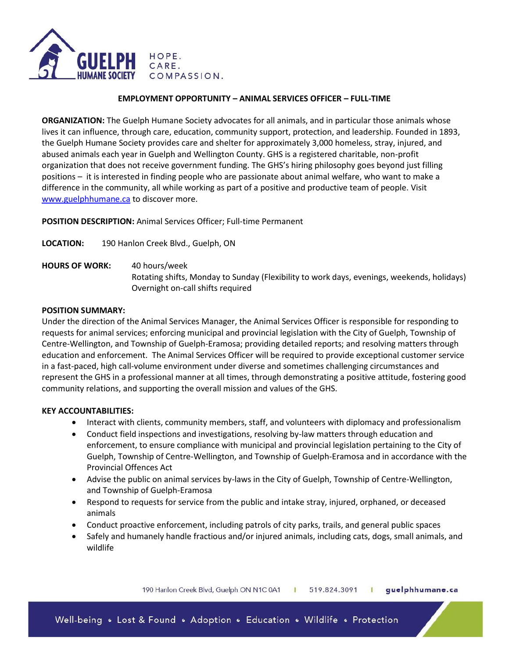

#### **EMPLOYMENT OPPORTUNITY – ANIMAL SERVICES OFFICER – FULL-TIME**

**ORGANIZATION:** The Guelph Humane Society advocates for all animals, and in particular those animals whose lives it can influence, through care, education, community support, protection, and leadership. Founded in 1893, the Guelph Humane Society provides care and shelter for approximately 3,000 homeless, stray, injured, and abused animals each year in Guelph and Wellington County. GHS is a registered charitable, non-profit organization that does not receive government funding. The GHS's hiring philosophy goes beyond just filling positions – it is interested in finding people who are passionate about animal welfare, who want to make a difference in the community, all while working as part of a positive and productive team of people. Visit [www.guelphhumane.ca](http://www.guelphhumane.ca/) to discover more.

**POSITION DESCRIPTION:** Animal Services Officer; Full-time Permanent

**LOCATION:** 190 Hanlon Creek Blvd., Guelph, ON

**HOURS OF WORK:** 40 hours/week Rotating shifts, Monday to Sunday (Flexibility to work days, evenings, weekends, holidays) Overnight on-call shifts required

#### **POSITION SUMMARY:**

Under the direction of the Animal Services Manager, the Animal Services Officer is responsible for responding to requests for animal services; enforcing municipal and provincial legislation with the City of Guelph, Township of Centre-Wellington, and Township of Guelph-Eramosa; providing detailed reports; and resolving matters through education and enforcement. The Animal Services Officer will be required to provide exceptional customer service in a fast-paced, high call-volume environment under diverse and sometimes challenging circumstances and represent the GHS in a professional manner at all times, through demonstrating a positive attitude, fostering good community relations, and supporting the overall mission and values of the GHS.

### **KEY ACCOUNTABILITIES:**

- Interact with clients, community members, staff, and volunteers with diplomacy and professionalism
- Conduct field inspections and investigations, resolving by-law matters through education and enforcement, to ensure compliance with municipal and provincial legislation pertaining to the City of Guelph, Township of Centre-Wellington, and Township of Guelph-Eramosa and in accordance with the Provincial Offences Act
- Advise the public on animal services by-laws in the City of Guelph, Township of Centre-Wellington, and Township of Guelph-Eramosa
- Respond to requests for service from the public and intake stray, injured, orphaned, or deceased animals
- Conduct proactive enforcement, including patrols of city parks, trails, and general public spaces
- Safely and humanely handle fractious and/or injured animals, including cats, dogs, small animals, and wildlife

190 Hanlon Creek Blvd, Guelph ON N1C 0A1 guelphhumane.ca 519.824.3091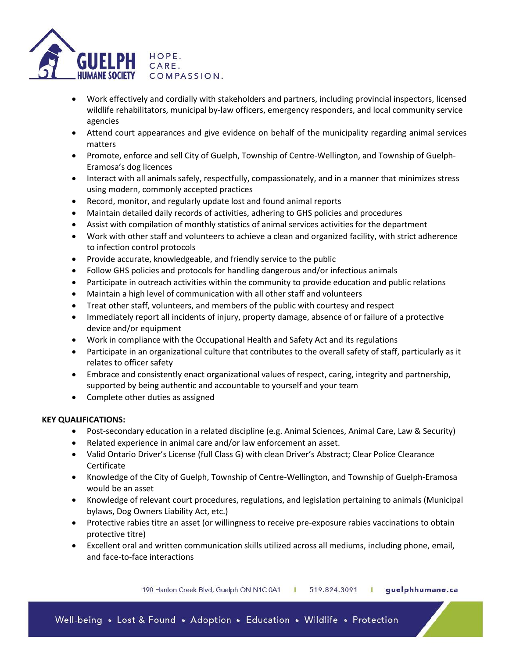

- Work effectively and cordially with stakeholders and partners, including provincial inspectors, licensed wildlife rehabilitators, municipal by-law officers, emergency responders, and local community service agencies
- Attend court appearances and give evidence on behalf of the municipality regarding animal services matters
- Promote, enforce and sell City of Guelph, Township of Centre-Wellington, and Township of Guelph-Eramosa's dog licences
- Interact with all animals safely, respectfully, compassionately, and in a manner that minimizes stress using modern, commonly accepted practices
- Record, monitor, and regularly update lost and found animal reports
- Maintain detailed daily records of activities, adhering to GHS policies and procedures
- Assist with compilation of monthly statistics of animal services activities for the department
- Work with other staff and volunteers to achieve a clean and organized facility, with strict adherence to infection control protocols
- Provide accurate, knowledgeable, and friendly service to the public
- Follow GHS policies and protocols for handling dangerous and/or infectious animals
- Participate in outreach activities within the community to provide education and public relations
- Maintain a high level of communication with all other staff and volunteers
- Treat other staff, volunteers, and members of the public with courtesy and respect
- Immediately report all incidents of injury, property damage, absence of or failure of a protective device and/or equipment
- Work in compliance with the Occupational Health and Safety Act and its regulations
- Participate in an organizational culture that contributes to the overall safety of staff, particularly as it relates to officer safety
- Embrace and consistently enact organizational values of respect, caring, integrity and partnership, supported by being authentic and accountable to yourself and your team
- Complete other duties as assigned

### **KEY QUALIFICATIONS:**

- Post-secondary education in a related discipline (e.g. Animal Sciences, Animal Care, Law & Security)
- Related experience in animal care and/or law enforcement an asset.
- Valid Ontario Driver's License (full Class G) with clean Driver's Abstract; Clear Police Clearance Certificate
- Knowledge of the City of Guelph, Township of Centre-Wellington, and Township of Guelph-Eramosa would be an asset
- Knowledge of relevant court procedures, regulations, and legislation pertaining to animals (Municipal bylaws, Dog Owners Liability Act, etc.)
- Protective rabies titre an asset (or willingness to receive pre-exposure rabies vaccinations to obtain protective titre)
- Excellent oral and written communication skills utilized across all mediums, including phone, email, and face-to-face interactions

190 Hanlon Creek Blvd, Guelph ON N1C 0A1 519.824.3091 | guelphhumane.ca